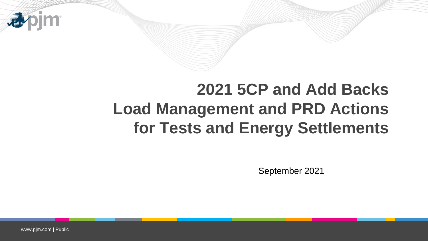

## **2021 5CP and Add Backs Load Management and PRD Actions for Tests and Energy Settlements**

September 2021

www.pjm.com | Public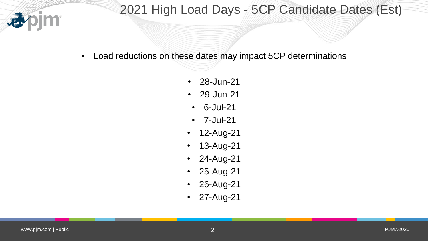

## 2021 High Load Days - 5CP Candidate Dates (Est)

• Load reductions on these dates may impact 5CP determinations

- 28-Jun-21
- 29-Jun-21
- 6-Jul-21
- 7-Jul-21
- 12-Aug-21
- 13-Aug-21
- 24-Aug-21
- 25-Aug-21
- 26-Aug-21
- 27-Aug-21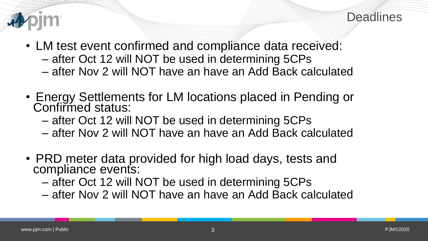

- LM test event confirmed and compliance data received:
	- after Oct 12 will NOT be used in determining 5CPs
	- after Nov 2 will NOT have an have an Add Back calculated
- Energy Settlements for LM locations placed in Pending or Confirmed status:
	- after Oct 12 will NOT be used in determining 5CPs
	- after Nov 2 will NOT have an have an Add Back calculated
- PRD meter data provided for high load days, tests and compliance events:
	- after Oct 12 will NOT be used in determining 5CPs
	- after Nov 2 will NOT have an have an Add Back calculated